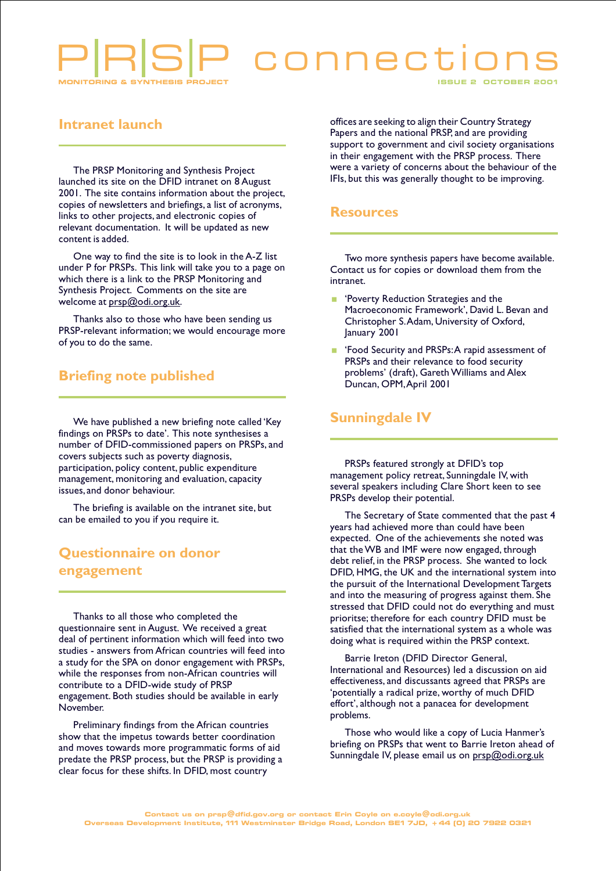# connec

#### **Intranet launch**

The PRSP Monitoring and Synthesis Project launched its site on the DFID intranet on 8 August 2001. The site contains information about the project, copies of newsletters and briefings, a list of acronyms, links to other projects, and electronic copies of relevant documentation. It will be updated as new content is added.

One way to find the site is to look in the A-Z list under P for PRSPs. This link will take you to a page on which there is a link to the PRSP Monitoring and Synthesis Project. Comments on the site are welcome at prsp@odi.org.uk.

Thanks also to those who have been sending us PRSP-relevant information; we would encourage more of you to do the same.

### **Briefing note published**

We have published a new briefing note called 'Key findings on PRSPs to date'. This note synthesises a number of DFID-commissioned papers on PRSPs, and covers subjects such as poverty diagnosis, participation, policy content, public expenditure management, monitoring and evaluation, capacity issues, and donor behaviour.

The briefing is available on the intranet site, but can be emailed to you if you require it.

# **Questionnaire on donor** engagement

Thanks to all those who completed the questionnaire sent in August. We received a great deal of pertinent information which will feed into two studies - answers from African countries will feed into a study for the SPA on donor engagement with PRSPs, while the responses from non-African countries will contribute to a DFID-wide study of PRSP engagement. Both studies should be available in early November.

Preliminary findings from the African countries show that the impetus towards better coordination and moves towards more programmatic forms of aid predate the PRSP process, but the PRSP is providing a clear focus for these shifts. In DFID, most country

offices are seeking to align their Country Strategy Papers and the national PRSP, and are providing support to government and civil society organisations in their engagement with the PRSP process. There were a variety of concerns about the behaviour of the IFIs, but this was generally thought to be improving.

#### **Resources**

Two more synthesis papers have become available. Contact us for copies or download them from the intranet.

- **Poverty Reduction Strategies and the** Macroeconomic Framework', David L. Bevan and Christopher S.Adam, University of Oxford, January 2001
- Food Security and PRSPs: A rapid assessment of PRSPs and their relevance to food security problems' (draft), Gareth Williams and Alex Duncan, OPM, April 2001

#### **Sunningdale IV**

PRSPs featured strongly at DFID's top management policy retreat, Sunningdale IV, with several speakers including Clare Short keen to see PRSPs develop their potential.

The Secretary of State commented that the past 4 years had achieved more than could have been expected. One of the achievements she noted was that the WB and IMF were now engaged, through debt relief, in the PRSP process. She wanted to lock DFID, HMG, the UK and the international system into the pursuit of the International Development Targets and into the measuring of progress against them. She stressed that DFID could not do everything and must prioritse; therefore for each country DFID must be satisfied that the international system as a whole was doing what is required within the PRSP context.

Barrie Ireton (DFID Director General, International and Resources) led a discussion on aid effectiveness, and discussants agreed that PRSPs are 'potentially a radical prize, worthy of much DFID effort', although not a panacea for development problems.

Those who would like a copy of Lucia Hanmer's briefing on PRSPs that went to Barrie Ireton ahead of Sunningdale IV, please email us on prsp@odi.org.uk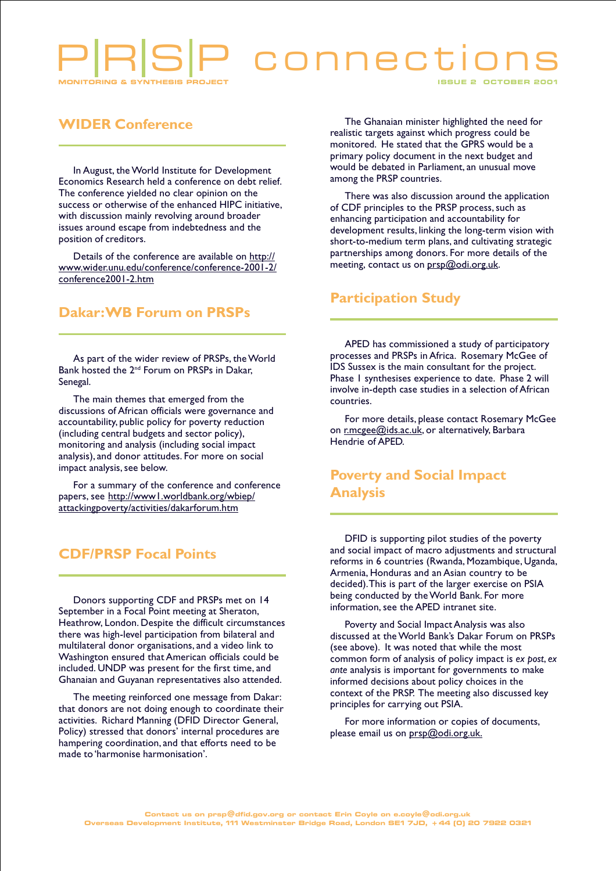# connect

#### **WIDER Conference**

In August, the World Institute for Development Economics Research held a conference on debt relief. The conference yielded no clear opinion on the success or otherwise of the enhanced HIPC initiative, with discussion mainly revolving around broader issues around escape from indebtedness and the position of creditors.

Details of the conference are available on http:// www.wider.unu.edu/conference/conference-2001-2/ conference2001-2.htm

#### **Dakar: WB Forum on PRSPs**

As part of the wider review of PRSPs, the World Bank hosted the 2<sup>nd</sup> Forum on PRSPs in Dakar, Senegal.

The main themes that emerged from the discussions of African officials were governance and accountability, public policy for poverty reduction (including central budgets and sector policy), monitoring and analysis (including social impact analysis), and donor attitudes. For more on social impact analysis, see below.

For a summary of the conference and conference papers, see http://wwwl.worldbank.org/wbiep/ attackingpoverty/activities/dakarforum.htm

#### **CDF/PRSP Focal Points**

Donors supporting CDF and PRSPs met on 14 September in a Focal Point meeting at Sheraton, Heathrow, London. Despite the difficult circumstances there was high-level participation from bilateral and multilateral donor organisations, and a video link to Washington ensured that American officials could be included. UNDP was present for the first time, and Ghanaian and Guyanan representatives also attended.

The meeting reinforced one message from Dakar: that donors are not doing enough to coordinate their activities. Richard Manning (DFID Director General, Policy) stressed that donors' internal procedures are hampering coordination, and that efforts need to be made to 'harmonise harmonisation'.

The Ghanaian minister highlighted the need for realistic targets against which progress could be monitored. He stated that the GPRS would be a primary policy document in the next budget and would be debated in Parliament, an unusual move among the PRSP countries.

There was also discussion around the application of CDF principles to the PRSP process, such as enhancing participation and accountability for development results, linking the long-term vision with short-to-medium term plans, and cultivating strategic partnerships among donors. For more details of the meeting, contact us on prsp@odi.org.uk.

#### **Participation Study**

APED has commissioned a study of participatory processes and PRSPs in Africa. Rosemary McGee of IDS Sussex is the main consultant for the project. Phase I synthesises experience to date. Phase 2 will involve in-depth case studies in a selection of African countries.

For more details, please contact Rosemary McGee on r.mcgee@ids.ac.uk, or alternatively, Barbara Hendrie of APED.

### **Poverty and Social Impact Analysis**

DFID is supporting pilot studies of the poverty and social impact of macro adjustments and structural reforms in 6 countries (Rwanda, Mozambique, Uganda, Armenia, Honduras and an Asian country to be decided). This is part of the larger exercise on PSIA being conducted by the World Bank. For more information, see the APED intranet site.

Poverty and Social Impact Analysis was also discussed at the World Bank's Dakar Forum on PRSPs (see above). It was noted that while the most common form of analysis of policy impact is ex post, ex ante analysis is important for governments to make informed decisions about policy choices in the context of the PRSP. The meeting also discussed key principles for carrying out PSIA.

For more information or copies of documents, please email us on prsp@odi.org.uk.